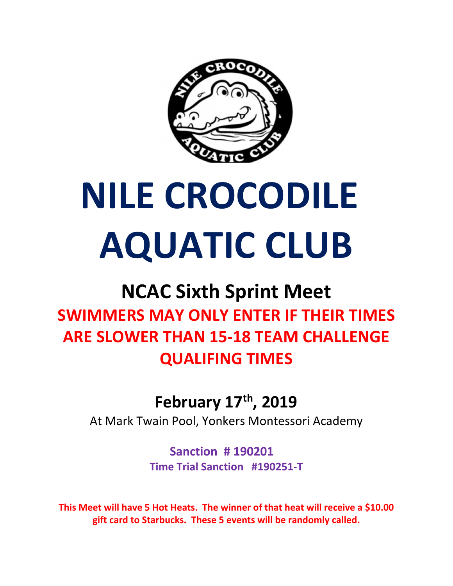

# NILE CROCODILE AQUATIC CLUB

## NCAC Sixth Sprint Meet SWIMMERS MAY ONLY ENTER IF THEIR TIMES ARE SLOWER THAN 15-18 TEAM CHALLENGE QUALIFING TIMES

#### February 17th, 2019

At Mark Twain Pool, Yonkers Montessori Academy

Sanction # 190201 Time Trial Sanction #190251-T

This Meet will have 5 Hot Heats. The winner of that heat will receive a \$10.00 gift card to Starbucks. These 5 events will be randomly called.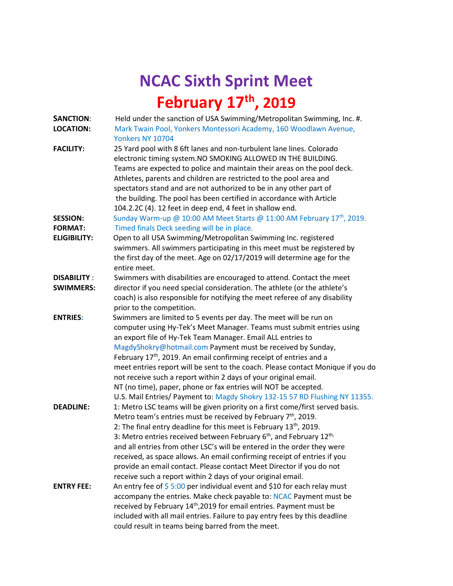### NCAC Sixth Sprint Meet February 17<sup>th</sup>, 2019

| <b>SANCTION:</b><br><b>LOCATION:</b> | Held under the sanction of USA Swimming/Metropolitan Swimming, Inc. #.<br>Mark Twain Pool, Yonkers Montessori Academy, 160 Woodlawn Avenue,                                                                                                                                                                                                                                                                                                                                                                                                                                                                                                                        |  |  |
|--------------------------------------|--------------------------------------------------------------------------------------------------------------------------------------------------------------------------------------------------------------------------------------------------------------------------------------------------------------------------------------------------------------------------------------------------------------------------------------------------------------------------------------------------------------------------------------------------------------------------------------------------------------------------------------------------------------------|--|--|
|                                      | Yonkers NY 10704                                                                                                                                                                                                                                                                                                                                                                                                                                                                                                                                                                                                                                                   |  |  |
| <b>FACILITY:</b>                     | 25 Yard pool with 8 6ft lanes and non-turbulent lane lines. Colorado<br>electronic timing system. NO SMOKING ALLOWED IN THE BUILDING.<br>Teams are expected to police and maintain their areas on the pool deck.<br>Athletes, parents and children are restricted to the pool area and<br>spectators stand and are not authorized to be in any other part of<br>the building. The pool has been certified in accordance with Article<br>104.2.2C (4). 12 feet in deep end, 4 feet in shallow end.                                                                                                                                                                  |  |  |
| <b>SESSION:</b>                      | Sunday Warm-up @ 10:00 AM Meet Starts @ 11:00 AM February 17 <sup>th</sup> , 2019.                                                                                                                                                                                                                                                                                                                                                                                                                                                                                                                                                                                 |  |  |
| <b>FORMAT:</b>                       | Timed finals Deck seeding will be in place.                                                                                                                                                                                                                                                                                                                                                                                                                                                                                                                                                                                                                        |  |  |
| <b>ELIGIBILITY:</b>                  | Open to all USA Swimming/Metropolitan Swimming Inc. registered<br>swimmers. All swimmers participating in this meet must be registered by<br>the first day of the meet. Age on 02/17/2019 will determine age for the<br>entire meet.                                                                                                                                                                                                                                                                                                                                                                                                                               |  |  |
| <b>DISABILITY:</b>                   | Swimmers with disabilities are encouraged to attend. Contact the meet                                                                                                                                                                                                                                                                                                                                                                                                                                                                                                                                                                                              |  |  |
| <b>SWIMMERS:</b>                     | director if you need special consideration. The athlete (or the athlete's                                                                                                                                                                                                                                                                                                                                                                                                                                                                                                                                                                                          |  |  |
|                                      | coach) is also responsible for notifying the meet referee of any disability<br>prior to the competition.                                                                                                                                                                                                                                                                                                                                                                                                                                                                                                                                                           |  |  |
| <b>ENTRIES:</b>                      | Swimmers are limited to 5 events per day. The meet will be run on<br>computer using Hy-Tek's Meet Manager. Teams must submit entries using<br>an export file of Hy-Tek Team Manager. Email ALL entries to<br>MagdyShokry@hotmail.com Payment must be received by Sunday,<br>February 17 <sup>th</sup> , 2019. An email confirming receipt of entries and a<br>meet entries report will be sent to the coach. Please contact Monique if you do<br>not receive such a report within 2 days of your original email.<br>NT (no time), paper, phone or fax entries will NOT be accepted.<br>U.S. Mail Entries/ Payment to: Magdy Shokry 132-15 57 RD Flushing NY 11355. |  |  |
| <b>DEADLINE:</b>                     | 1: Metro LSC teams will be given priority on a first come/first served basis.<br>Metro team's entries must be received by February $7th$ , 2019.<br>2: The final entry deadline for this meet is February 13 <sup>th</sup> , 2019.<br>3: Metro entries received between February $6th$ , and February 12 <sup>th,</sup><br>and all entries from other LSC's will be entered in the order they were<br>received, as space allows. An email confirming receipt of entries if you<br>provide an email contact. Please contact Meet Director if you do not<br>receive such a report within 2 days of your original email.                                              |  |  |
| <b>ENTRY FEE:</b>                    | An entry fee of $\frac{2}{5}$ 5:00 per individual event and \$10 for each relay must<br>accompany the entries. Make check payable to: NCAC Payment must be<br>received by February 14 <sup>th</sup> , 2019 for email entries. Payment must be<br>included with all mail entries. Failure to pay entry fees by this deadline<br>could result in teams being barred from the meet.                                                                                                                                                                                                                                                                                   |  |  |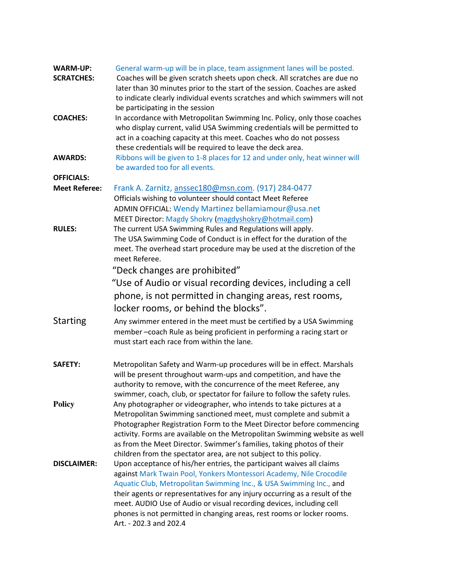| <b>WARM-UP:</b>      | General warm-up will be in place, team assignment lanes will be posted.     |  |  |
|----------------------|-----------------------------------------------------------------------------|--|--|
| <b>SCRATCHES:</b>    | Coaches will be given scratch sheets upon check. All scratches are due no   |  |  |
|                      | later than 30 minutes prior to the start of the session. Coaches are asked  |  |  |
|                      | to indicate clearly individual events scratches and which swimmers will not |  |  |
|                      | be participating in the session                                             |  |  |
| <b>COACHES:</b>      | In accordance with Metropolitan Swimming Inc. Policy, only those coaches    |  |  |
|                      | who display current, valid USA Swimming credentials will be permitted to    |  |  |
|                      | act in a coaching capacity at this meet. Coaches who do not possess         |  |  |
|                      |                                                                             |  |  |
|                      | these credentials will be required to leave the deck area.                  |  |  |
| <b>AWARDS:</b>       | Ribbons will be given to 1-8 places for 12 and under only, heat winner will |  |  |
|                      | be awarded too for all events.                                              |  |  |
| <b>OFFICIALS:</b>    |                                                                             |  |  |
| <b>Meet Referee:</b> | Frank A. Zarnitz, anssec180@msn.com. (917) 284-0477                         |  |  |
|                      | Officials wishing to volunteer should contact Meet Referee                  |  |  |
|                      | ADMIN OFFICIAL: Wendy Martinez bellamiamour@usa.net                         |  |  |
|                      | MEET Director: Magdy Shokry (magdyshokry@hotmail.com)                       |  |  |
| <b>RULES:</b>        | The current USA Swimming Rules and Regulations will apply.                  |  |  |
|                      | The USA Swimming Code of Conduct is in effect for the duration of the       |  |  |
|                      | meet. The overhead start procedure may be used at the discretion of the     |  |  |
|                      | meet Referee.                                                               |  |  |
|                      |                                                                             |  |  |
|                      | "Deck changes are prohibited"                                               |  |  |
|                      | "Use of Audio or visual recording devices, including a cell                 |  |  |
|                      | phone, is not permitted in changing areas, rest rooms,                      |  |  |
|                      | locker rooms, or behind the blocks".                                        |  |  |
|                      |                                                                             |  |  |
| <b>Starting</b>      | Any swimmer entered in the meet must be certified by a USA Swimming         |  |  |
|                      | member-coach Rule as being proficient in performing a racing start or       |  |  |
|                      | must start each race from within the lane.                                  |  |  |
|                      |                                                                             |  |  |
| <b>SAFETY:</b>       | Metropolitan Safety and Warm-up procedures will be in effect. Marshals      |  |  |
|                      | will be present throughout warm-ups and competition, and have the           |  |  |
|                      | authority to remove, with the concurrence of the meet Referee, any          |  |  |
|                      | swimmer, coach, club, or spectator for failure to follow the safety rules.  |  |  |
| <b>Policy</b>        | Any photographer or videographer, who intends to take pictures at a         |  |  |
|                      | Metropolitan Swimming sanctioned meet, must complete and submit a           |  |  |
|                      |                                                                             |  |  |
|                      | Photographer Registration Form to the Meet Director before commencing       |  |  |
|                      | activity. Forms are available on the Metropolitan Swimming website as well  |  |  |
|                      | as from the Meet Director. Swimmer's families, taking photos of their       |  |  |
|                      | children from the spectator area, are not subject to this policy.           |  |  |
| <b>DISCLAIMER:</b>   | Upon acceptance of his/her entries, the participant waives all claims       |  |  |
|                      | against Mark Twain Pool, Yonkers Montessori Academy, Nile Crocodile         |  |  |
|                      | Aquatic Club, Metropolitan Swimming Inc., & USA Swimming Inc., and          |  |  |
|                      | their agents or representatives for any injury occurring as a result of the |  |  |
|                      | meet. AUDIO Use of Audio or visual recording devices, including cell        |  |  |
|                      | phones is not permitted in changing areas, rest rooms or locker rooms.      |  |  |
|                      | Art. - 202.3 and 202.4                                                      |  |  |
|                      |                                                                             |  |  |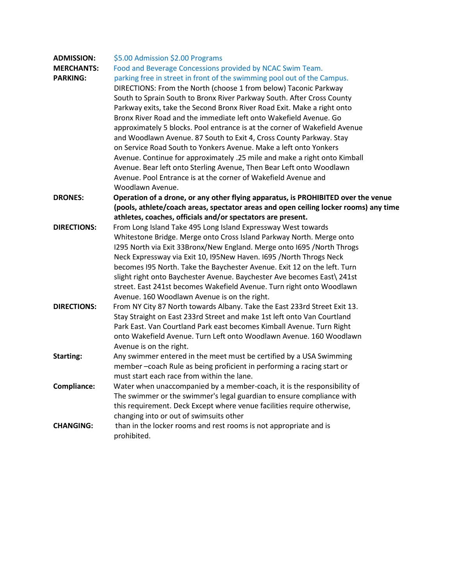| <b>ADMISSION:</b>  | \$5.00 Admission \$2.00 Programs                                                     |  |  |
|--------------------|--------------------------------------------------------------------------------------|--|--|
| <b>MERCHANTS:</b>  | Food and Beverage Concessions provided by NCAC Swim Team.                            |  |  |
| <b>PARKING:</b>    | parking free in street in front of the swimming pool out of the Campus.              |  |  |
|                    | DIRECTIONS: From the North (choose 1 from below) Taconic Parkway                     |  |  |
|                    | South to Sprain South to Bronx River Parkway South. After Cross County               |  |  |
|                    | Parkway exits, take the Second Bronx River Road Exit. Make a right onto              |  |  |
|                    | Bronx River Road and the immediate left onto Wakefield Avenue. Go                    |  |  |
|                    | approximately 5 blocks. Pool entrance is at the corner of Wakefield Avenue           |  |  |
|                    | and Woodlawn Avenue. 87 South to Exit 4, Cross County Parkway. Stay                  |  |  |
|                    | on Service Road South to Yonkers Avenue. Make a left onto Yonkers                    |  |  |
|                    | Avenue. Continue for approximately .25 mile and make a right onto Kimball            |  |  |
|                    | Avenue. Bear left onto Sterling Avenue, Then Bear Left onto Woodlawn                 |  |  |
|                    | Avenue. Pool Entrance is at the corner of Wakefield Avenue and                       |  |  |
|                    | Woodlawn Avenue.                                                                     |  |  |
| <b>DRONES:</b>     | Operation of a drone, or any other flying apparatus, is PROHIBITED over the venue    |  |  |
|                    | (pools, athlete/coach areas, spectator areas and open ceiling locker rooms) any time |  |  |
|                    | athletes, coaches, officials and/or spectators are present.                          |  |  |
| DIRECTIONS:        | From Long Island Take 495 Long Island Expressway West towards                        |  |  |
|                    | Whitestone Bridge. Merge onto Cross Island Parkway North. Merge onto                 |  |  |
|                    | I295 North via Exit 33Bronx/New England. Merge onto I695 /North Throgs               |  |  |
|                    | Neck Expressway via Exit 10, I95New Haven. 1695 / North Throgs Neck                  |  |  |
|                    | becomes I95 North. Take the Baychester Avenue. Exit 12 on the left. Turn             |  |  |
|                    | slight right onto Baychester Avenue. Baychester Ave becomes East\ 241st              |  |  |
|                    | street. East 241st becomes Wakefield Avenue. Turn right onto Woodlawn                |  |  |
|                    | Avenue. 160 Woodlawn Avenue is on the right.                                         |  |  |
| <b>DIRECTIONS:</b> | From NY City 87 North towards Albany. Take the East 233rd Street Exit 13.            |  |  |
|                    | Stay Straight on East 233rd Street and make 1st left onto Van Courtland              |  |  |
|                    | Park East. Van Courtland Park east becomes Kimball Avenue. Turn Right                |  |  |
|                    | onto Wakefield Avenue. Turn Left onto Woodlawn Avenue. 160 Woodlawn                  |  |  |
|                    | Avenue is on the right.                                                              |  |  |
| <b>Starting:</b>   | Any swimmer entered in the meet must be certified by a USA Swimming                  |  |  |
|                    | member-coach Rule as being proficient in performing a racing start or                |  |  |
|                    | must start each race from within the lane.                                           |  |  |
| Compliance:        | Water when unaccompanied by a member-coach, it is the responsibility of              |  |  |
|                    | The swimmer or the swimmer's legal guardian to ensure compliance with                |  |  |
|                    | this requirement. Deck Except where venue facilities require otherwise,              |  |  |
|                    | changing into or out of swimsuits other                                              |  |  |
| <b>CHANGING:</b>   | than in the locker rooms and rest rooms is not appropriate and is                    |  |  |
|                    | prohibited.                                                                          |  |  |